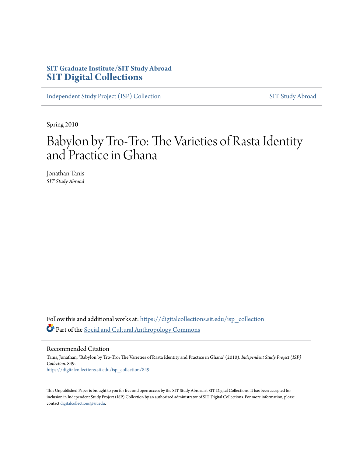# **SIT Graduate Institute/SIT Study Abroad [SIT Digital Collections](https://digitalcollections.sit.edu?utm_source=digitalcollections.sit.edu%2Fisp_collection%2F849&utm_medium=PDF&utm_campaign=PDFCoverPages)**

[Independent Study Project \(ISP\) Collection](https://digitalcollections.sit.edu/isp_collection?utm_source=digitalcollections.sit.edu%2Fisp_collection%2F849&utm_medium=PDF&utm_campaign=PDFCoverPages) [SIT Study Abroad](https://digitalcollections.sit.edu/study_abroad?utm_source=digitalcollections.sit.edu%2Fisp_collection%2F849&utm_medium=PDF&utm_campaign=PDFCoverPages)

Spring 2010

# Babylon by Tro-Tro: The Varieties of Rasta Identity and Practice in Ghana

Jonathan Tanis *SIT Study Abroad*

Follow this and additional works at: [https://digitalcollections.sit.edu/isp\\_collection](https://digitalcollections.sit.edu/isp_collection?utm_source=digitalcollections.sit.edu%2Fisp_collection%2F849&utm_medium=PDF&utm_campaign=PDFCoverPages) Part of the [Social and Cultural Anthropology Commons](http://network.bepress.com/hgg/discipline/323?utm_source=digitalcollections.sit.edu%2Fisp_collection%2F849&utm_medium=PDF&utm_campaign=PDFCoverPages)

Recommended Citation

Tanis, Jonathan, "Babylon by Tro-Tro: The Varieties of Rasta Identity and Practice in Ghana" (2010). *Independent Study Project (ISP) Collection*. 849. [https://digitalcollections.sit.edu/isp\\_collection/849](https://digitalcollections.sit.edu/isp_collection/849?utm_source=digitalcollections.sit.edu%2Fisp_collection%2F849&utm_medium=PDF&utm_campaign=PDFCoverPages)

This Unpublished Paper is brought to you for free and open access by the SIT Study Abroad at SIT Digital Collections. It has been accepted for inclusion in Independent Study Project (ISP) Collection by an authorized administrator of SIT Digital Collections. For more information, please contact [digitalcollections@sit.edu](mailto:digitalcollections@sit.edu).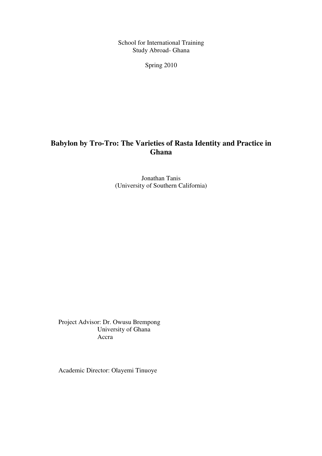School for International Training Study Abroad- Ghana

Spring 2010

# **Babylon by Tro-Tro: The Varieties of Rasta Identity and Practice in Ghana**

Jonathan Tanis (University of Southern California)

Project Advisor: Dr. Owusu Brempong University of Ghana Accra

Academic Director: Olayemi Tinuoye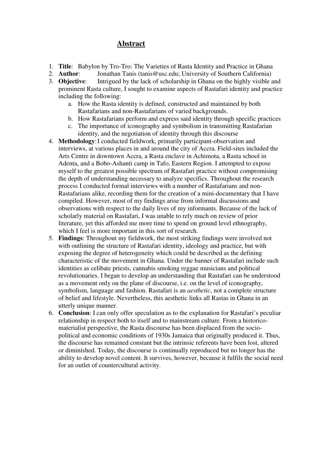## **Abstract**

- 1. **Title**: Babylon by Tro-Tro: The Varieties of Rasta Identity and Practice in Ghana
- 2. **Author**: Jonathan Tanis (tanis@usc.edu; University of Southern California)
- 3. **Objective**: Intrigued by the lack of scholarship in Ghana on the highly visible and prominent Rasta culture, I sought to examine aspects of Rastafari identity and practice including the following:
	- a. How the Rasta identity is defined, constructed and maintained by both Rastafarians and non-Rastafarians of varied backgrounds.
	- b. How Rastafarians perform and express said identity through specific practices
	- c. The importance of iconography and symbolism in transmitting Rastafarian identity, and the negotiation of identity through this discourse
- 4. **Methodology**: I conducted fieldwork, primarily participant-observation and interviews, at various places in and around the city of Accra. Field-sites included the Arts Centre in downtown Accra, a Rasta enclave in Achimota, a Rasta school in Adenta, and a Bobo-Ashanti camp in Tafo, Eastern Region. I attempted to expose myself to the greatest possible spectrum of Rastafari practice without compromising the depth of understanding necessary to analyze specifics. Throughout the research process I conducted formal interviews with a number of Rastafarians and non-Rastafarians alike, recording them for the creation of a mini-documentary that I have compiled. However, most of my findings arise from informal discussions and observations with respect to the daily lives of my informants. Because of the lack of scholarly material on Rastafari, I was unable to rely much on review of prior literature, yet this afforded me more time to spend on ground level ethnography, which I feel is more important in this sort of research.
- 5. **Findings**: Throughout my fieldwork, the most striking findings were involved not with outlining the structure of Rastafari identity, ideology and practice, but with exposing the degree of heterogeneity which could be described as the defining characteristic of the movement in Ghana. Under the banner of Rastafari include such identities as celibate priests, cannabis smoking reggae musicians and political revolutionaries. I began to develop an understanding that Rastafari can be understood as a movement only on the plane of discourse, i.e. on the level of iconography, symbolism, language and fashion. Rastafari is an *aesthetic*, not a complete structure of belief and lifestyle. Nevertheless, this aesthetic links all Rastas in Ghana in an utterly unique manner.
- 6. **Conclusion**: I can only offer speculation as to the explanation for Rastafari's peculiar relationship in respect both to itself and to mainstream culture. From a historicomaterialist perspective, the Rasta discourse has been displaced from the sociopolitical and economic conditions of 1930s Jamaica that originally produced it. Thus, the discourse has remained constant but the intrinsic referents have been lost, altered or diminished. Today, the discourse is continually reproduced but no longer has the ability to develop novel content. It survives, however, because it fulfils the social need for an outlet of countercultural activity.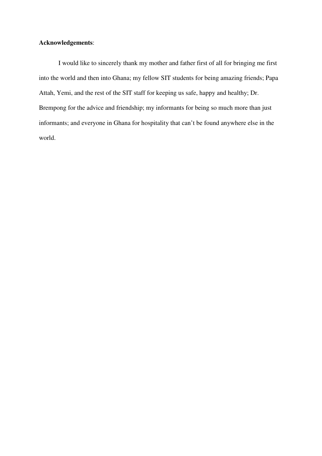### **Acknowledgements**:

 I would like to sincerely thank my mother and father first of all for bringing me first into the world and then into Ghana; my fellow SIT students for being amazing friends; Papa Attah, Yemi, and the rest of the SIT staff for keeping us safe, happy and healthy; Dr. Brempong for the advice and friendship; my informants for being so much more than just informants; and everyone in Ghana for hospitality that can't be found anywhere else in the world.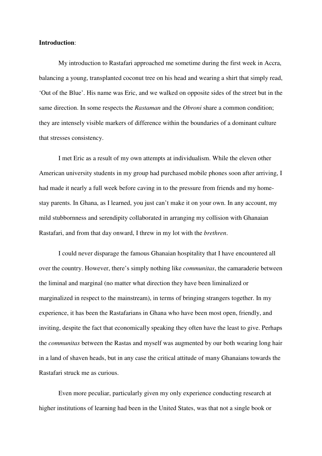#### **Introduction**:

 My introduction to Rastafari approached me sometime during the first week in Accra, balancing a young, transplanted coconut tree on his head and wearing a shirt that simply read, 'Out of the Blue'. His name was Eric, and we walked on opposite sides of the street but in the same direction. In some respects the *Rastaman* and the *Obroni* share a common condition; they are intensely visible markers of difference within the boundaries of a dominant culture that stresses consistency.

 I met Eric as a result of my own attempts at individualism. While the eleven other American university students in my group had purchased mobile phones soon after arriving, I had made it nearly a full week before caving in to the pressure from friends and my homestay parents. In Ghana, as I learned, you just can't make it on your own. In any account, my mild stubbornness and serendipity collaborated in arranging my collision with Ghanaian Rastafari, and from that day onward, I threw in my lot with the *brethren*.

 I could never disparage the famous Ghanaian hospitality that I have encountered all over the country. However, there's simply nothing like *communitas*, the camaraderie between the liminal and marginal (no matter what direction they have been liminalized or marginalized in respect to the mainstream), in terms of bringing strangers together. In my experience, it has been the Rastafarians in Ghana who have been most open, friendly, and inviting, despite the fact that economically speaking they often have the least to give. Perhaps the *communitas* between the Rastas and myself was augmented by our both wearing long hair in a land of shaven heads, but in any case the critical attitude of many Ghanaians towards the Rastafari struck me as curious.

 Even more peculiar, particularly given my only experience conducting research at higher institutions of learning had been in the United States, was that not a single book or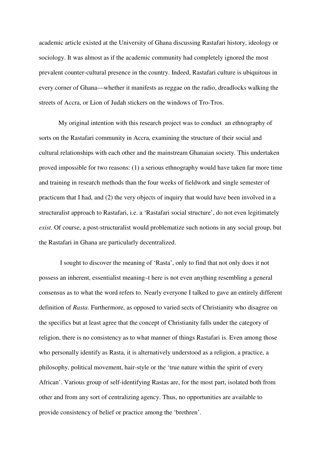academic article existed at the University of Ghana discussing Rastafari history, ideology or sociology. It was almost as if the academic community had completely ignored the most prevalent counter-cultural presence in the country. Indeed, Rastafari culture is ubiquitous in every corner of Ghana—whether it manifests as reggae on the radio, dreadlocks walking the streets of Accra, or Lion of Judah stickers on the windows of Tro-Tros.

 My original intention with this research project was to conduct an ethnography of sorts on the Rastafari community in Accra, examining the structure of their social and cultural relationships with each other and the mainstream Ghanaian society. This undertaken proved impossible for two reasons: (1) a serious ethnography would have taken far more time and training in research methods than the four weeks of fieldwork and single semester of practicum that I had, and (2) the very objects of inquiry that would have been involved in a structuralist approach to Rastafari, i.e. a 'Rastafari social structure', do not even legitimately *exist*. Of course, a post-structuralist would problematize such notions in any social group, but the Rastafari in Ghana are particularly decentralized.

 I sought to discover the meaning of 'Rasta', only to find that not only does it not possess an inherent, essentialist meaning–t here is not even anything resembling a general consensus as to what the word refers to. Nearly everyone I talked to gave an entirely different definition of *Rasta*. Furthermore, as opposed to varied sects of Christianity who disagree on the specifics but at least agree that the concept of Christianity falls under the category of religion, there is no consistency as to what manner of things Rastafari is. Even among those who personally identify as Rasta, it is alternatively understood as a religion, a practice, a philosophy, political movement, hair-style or the 'true nature within the spirit of every African'. Various group of self-identifying Rastas are, for the most part, isolated both from other and from any sort of centralizing agency. Thus, no opportunities are available to provide consistency of belief or practice among the 'brethren'.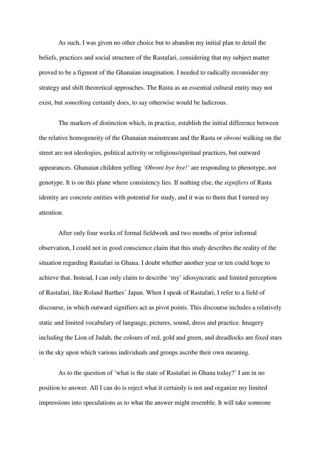As such, I was given no other choice but to abandon my initial plan to detail the beliefs, practices and social structure of the Rastafari, considering that my subject matter proved to be a figment of the Ghanaian imagination. I needed to radically reconsider my strategy and shift theoretical approaches. The Rasta as an essential cultural entity may not exist, but *something* certainly does, to say otherwise would be ludicrous.

The markers of distinction which, in practice, establish the initial difference between the relative homogeneity of the Ghanaian mainstream and the Rasta or *obroni* walking on the street are not ideologies, political activity or religious/spiritual practices, but outward appearances. Ghanaian children yelling *'Obroni bye bye!'* are responding to phenotype, not genotype. It is on this plane where consistency lies. If nothing else, the *signifiers* of Rasta identity are concrete entities with potential for study, and it was to them that I turned my attention.

After only four weeks of formal fieldwork and two months of prior informal observation, I could not in good conscience claim that this study describes the reality of the situation regarding Rastafari in Ghana. I doubt whether another year or ten could hope to achieve that. Instead, I can only claim to describe 'my' idiosyncratic and limited perception of Rastafari, like Roland Barthes' Japan. When I speak of Rastafari, I refer to a field of discourse, in which outward signifiers act as pivot points. This discourse includes a relatively static and limited vocabulary of language, pictures, sound, dress and practice. Imagery including the Lion of Judah, the colours of red, gold and green, and dreadlocks are fixed stars in the sky upon which various individuals and groups ascribe their own meaning.

As to the question of 'what is the state of Rastafari in Ghana today?' I am in no position to answer. All I can do is reject what it certainly is not and organize my limited impressions into speculations as to what the answer might resemble. It will take someone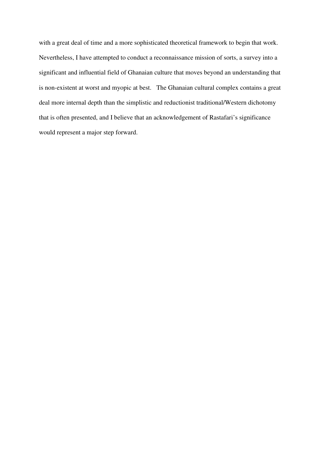with a great deal of time and a more sophisticated theoretical framework to begin that work. Nevertheless, I have attempted to conduct a reconnaissance mission of sorts, a survey into a significant and influential field of Ghanaian culture that moves beyond an understanding that is non-existent at worst and myopic at best. The Ghanaian cultural complex contains a great deal more internal depth than the simplistic and reductionist traditional/Western dichotomy that is often presented, and I believe that an acknowledgement of Rastafari's significance would represent a major step forward.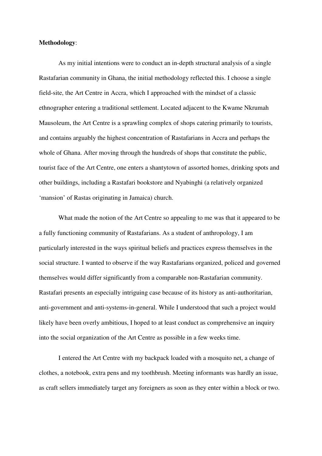#### **Methodology**:

As my initial intentions were to conduct an in-depth structural analysis of a single Rastafarian community in Ghana, the initial methodology reflected this. I choose a single field-site, the Art Centre in Accra, which I approached with the mindset of a classic ethnographer entering a traditional settlement. Located adjacent to the Kwame Nkrumah Mausoleum, the Art Centre is a sprawling complex of shops catering primarily to tourists, and contains arguably the highest concentration of Rastafarians in Accra and perhaps the whole of Ghana. After moving through the hundreds of shops that constitute the public, tourist face of the Art Centre, one enters a shantytown of assorted homes, drinking spots and other buildings, including a Rastafari bookstore and Nyabinghi (a relatively organized 'mansion' of Rastas originating in Jamaica) church.

What made the notion of the Art Centre so appealing to me was that it appeared to be a fully functioning community of Rastafarians. As a student of anthropology, I am particularly interested in the ways spiritual beliefs and practices express themselves in the social structure. I wanted to observe if the way Rastafarians organized, policed and governed themselves would differ significantly from a comparable non-Rastafarian community. Rastafari presents an especially intriguing case because of its history as anti-authoritarian, anti-government and anti-systems-in-general. While I understood that such a project would likely have been overly ambitious, I hoped to at least conduct as comprehensive an inquiry into the social organization of the Art Centre as possible in a few weeks time.

I entered the Art Centre with my backpack loaded with a mosquito net, a change of clothes, a notebook, extra pens and my toothbrush. Meeting informants was hardly an issue, as craft sellers immediately target any foreigners as soon as they enter within a block or two.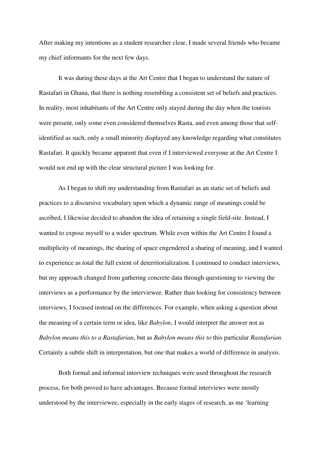After making my intentions as a student researcher clear, I made several friends who became my chief informants for the next few days.

It was during these days at the Art Centre that I began to understand the nature of Rastafari in Ghana, that there is nothing resembling a consistent set of beliefs and practices. In reality, most inhabitants of the Art Centre only stayed during the day when the tourists were present, only some even considered themselves Rasta, and even among those that selfidentified as such, only a small minority displayed any knowledge regarding what constitutes Rastafari. It quickly became apparent that even if I interviewed everyone at the Art Centre I would not end up with the clear structural picture I was looking for.

As I began to shift my understanding from Rastafari as an static set of beliefs and practices to a discursive vocabulary upon which a dynamic range of meanings could be ascribed, I likewise decided to abandon the idea of retaining a single field-site. Instead, I wanted to expose myself to a wider spectrum. While even within the Art Centre I found a multiplicity of meanings, the sharing of space engendered a sharing of meaning, and I wanted to experience as total the full extent of deterritorialization. I continued to conduct interviews, but my approach changed from gathering concrete data through questioning to viewing the interviews as a performance by the interviewee. Rather than looking for consistency between interviews, I focused instead on the differences. For example, when asking a question about the meaning of a certain term or idea, like *Babylon*, I would interpret the answer not as *Babylon means this to a Rastafarian*, but as *Babylon means this to* this particular *Rastafarian*. Certainly a subtle shift in interpretation, but one that makes a world of difference in analysis.

Both formal and informal interview techniques were used throughout the research process, for both proved to have advantages. Because formal interviews were mostly understood by the interviewee, especially in the early stages of research, as me 'learning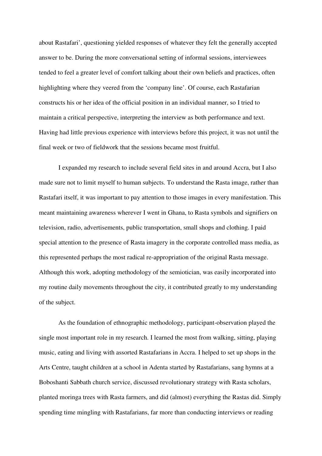about Rastafari', questioning yielded responses of whatever they felt the generally accepted answer to be. During the more conversational setting of informal sessions, interviewees tended to feel a greater level of comfort talking about their own beliefs and practices, often highlighting where they veered from the 'company line'. Of course, each Rastafarian constructs his or her idea of the official position in an individual manner, so I tried to maintain a critical perspective, interpreting the interview as both performance and text. Having had little previous experience with interviews before this project, it was not until the final week or two of fieldwork that the sessions became most fruitful.

I expanded my research to include several field sites in and around Accra, but I also made sure not to limit myself to human subjects. To understand the Rasta image, rather than Rastafari itself, it was important to pay attention to those images in every manifestation. This meant maintaining awareness wherever I went in Ghana, to Rasta symbols and signifiers on television, radio, advertisements, public transportation, small shops and clothing. I paid special attention to the presence of Rasta imagery in the corporate controlled mass media, as this represented perhaps the most radical re-appropriation of the original Rasta message. Although this work, adopting methodology of the semiotician, was easily incorporated into my routine daily movements throughout the city, it contributed greatly to my understanding of the subject.

As the foundation of ethnographic methodology, participant-observation played the single most important role in my research. I learned the most from walking, sitting, playing music, eating and living with assorted Rastafarians in Accra. I helped to set up shops in the Arts Centre, taught children at a school in Adenta started by Rastafarians, sang hymns at a Boboshanti Sabbath church service, discussed revolutionary strategy with Rasta scholars, planted moringa trees with Rasta farmers, and did (almost) everything the Rastas did. Simply spending time mingling with Rastafarians, far more than conducting interviews or reading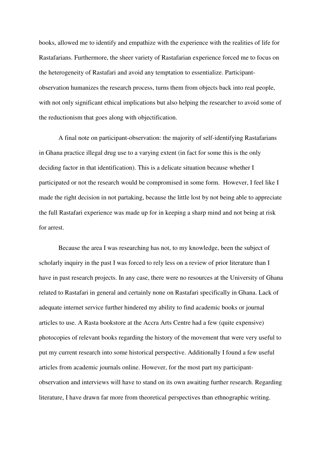books, allowed me to identify and empathize with the experience with the realities of life for Rastafarians. Furthermore, the sheer variety of Rastafarian experience forced me to focus on the heterogeneity of Rastafari and avoid any temptation to essentialize. Participantobservation humanizes the research process, turns them from objects back into real people, with not only significant ethical implications but also helping the researcher to avoid some of the reductionism that goes along with objectification.

A final note on participant-observation: the majority of self-identifying Rastafarians in Ghana practice illegal drug use to a varying extent (in fact for some this is the only deciding factor in that identification). This is a delicate situation because whether I participated or not the research would be compromised in some form. However, I feel like I made the right decision in not partaking, because the little lost by not being able to appreciate the full Rastafari experience was made up for in keeping a sharp mind and not being at risk for arrest.

 Because the area I was researching has not, to my knowledge, been the subject of scholarly inquiry in the past I was forced to rely less on a review of prior literature than I have in past research projects. In any case, there were no resources at the University of Ghana related to Rastafari in general and certainly none on Rastafari specifically in Ghana. Lack of adequate internet service further hindered my ability to find academic books or journal articles to use. A Rasta bookstore at the Accra Arts Centre had a few (quite expensive) photocopies of relevant books regarding the history of the movement that were very useful to put my current research into some historical perspective. Additionally I found a few useful articles from academic journals online. However, for the most part my participantobservation and interviews will have to stand on its own awaiting further research. Regarding literature, I have drawn far more from theoretical perspectives than ethnographic writing.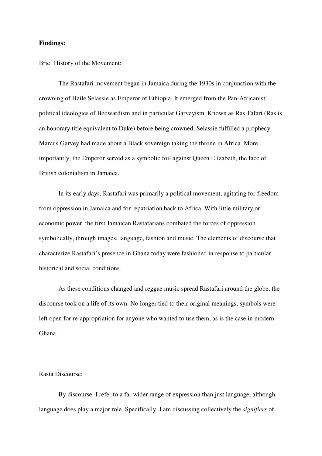#### **Findings:**

Brief History of the Movement:

 The Rastafari movement began in Jamaica during the 1930s in conjunction with the crowning of Haile Selassie as Emperor of Ethiopia. It emerged from the Pan-Africanist political ideologies of Bedwardism and in particular Garveyism. Known as Ras Tafari (Ras is an honorary title equivalent to Duke) before being crowned, Selassie fulfilled a prophecy Marcus Garvey had made about a Black sovereign taking the throne in Africa. More importantly, the Emperor served as a symbolic foil against Queen Elizabeth, the face of British colonialism in Jamaica.

 In its early days, Rastafari was primarily a political movement, agitating for freedom from oppression in Jamaica and for repatriation back to Africa. With little military or economic power, the first Jamaican Rastafarians combated the forces of oppression symbolically, through images, language, fashion and music. The elements of discourse that characterize Rastafari's presence in Ghana today were fashioned in response to particular historical and social conditions.

 As these conditions changed and reggae music spread Rastafari around the globe, the discourse took on a life of its own. No longer tied to their original meanings, symbols were left open for re-appropriation for anyone who wanted to use them, as is the case in modern Ghana.

#### Rasta Discourse:

 By discourse, I refer to a far wider range of expression than just language, although language does play a major role. Specifically, I am discussing collectively the *signifiers* of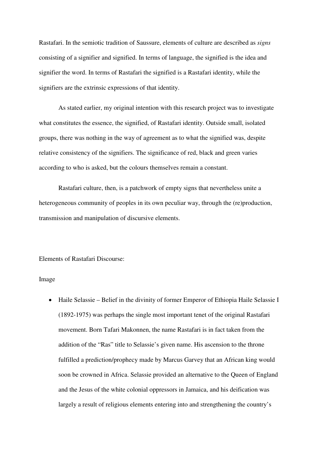Rastafari. In the semiotic tradition of Saussure, elements of culture are described as *signs* consisting of a signifier and signified. In terms of language, the signified is the idea and signifier the word. In terms of Rastafari the signified is a Rastafari identity, while the signifiers are the extrinsic expressions of that identity.

 As stated earlier, my original intention with this research project was to investigate what constitutes the essence, the signified, of Rastafari identity. Outside small, isolated groups, there was nothing in the way of agreement as to what the signified was, despite relative consistency of the signifiers. The significance of red, black and green varies according to who is asked, but the colours themselves remain a constant.

 Rastafari culture, then, is a patchwork of empty signs that nevertheless unite a heterogeneous community of peoples in its own peculiar way, through the (re)production, transmission and manipulation of discursive elements.

Elements of Rastafari Discourse:

#### Image

• Haile Selassie – Belief in the divinity of former Emperor of Ethiopia Haile Selassie I (1892-1975) was perhaps the single most important tenet of the original Rastafari movement. Born Tafari Makonnen, the name Rastafari is in fact taken from the addition of the "Ras" title to Selassie's given name. His ascension to the throne fulfilled a prediction/prophecy made by Marcus Garvey that an African king would soon be crowned in Africa. Selassie provided an alternative to the Queen of England and the Jesus of the white colonial oppressors in Jamaica, and his deification was largely a result of religious elements entering into and strengthening the country's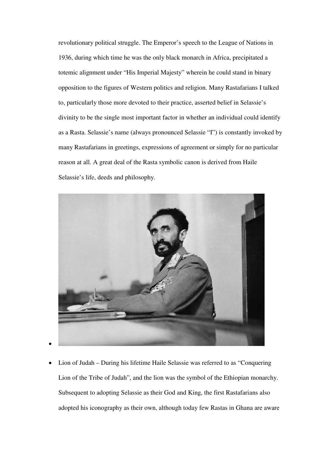revolutionary political struggle. The Emperor's speech to the League of Nations in 1936, during which time he was the only black monarch in Africa, precipitated a totemic alignment under "His Imperial Majesty" wherein he could stand in binary opposition to the figures of Western politics and religion. Many Rastafarians I talked to, particularly those more devoted to their practice, asserted belief in Selassie's divinity to be the single most important factor in whether an individual could identify as a Rasta. Selassie's name (always pronounced Selassie "I") is constantly invoked by many Rastafarians in greetings, expressions of agreement or simply for no particular reason at all. A great deal of the Rasta symbolic canon is derived from Haile Selassie's life, deeds and philosophy.



• Lion of Judah – During his lifetime Haile Selassie was referred to as "Conquering" Lion of the Tribe of Judah", and the lion was the symbol of the Ethiopian monarchy. Subsequent to adopting Selassie as their God and King, the first Rastafarians also adopted his iconography as their own, although today few Rastas in Ghana are aware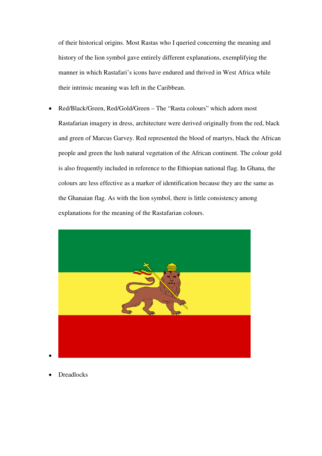of their historical origins. Most Rastas who I queried concerning the meaning and history of the lion symbol gave entirely different explanations, exemplifying the manner in which Rastafari's icons have endured and thrived in West Africa while their intrinsic meaning was left in the Caribbean.

• Red/Black/Green, Red/Gold/Green – The "Rasta colours" which adorn most Rastafarian imagery in dress, architecture were derived originally from the red, black and green of Marcus Garvey. Red represented the blood of martyrs, black the African people and green the lush natural vegetation of the African continent. The colour gold is also frequently included in reference to the Ethiopian national flag. In Ghana, the colours are less effective as a marker of identification because they are the same as the Ghanaian flag. As with the lion symbol, there is little consistency among explanations for the meaning of the Rastafarian colours.



**Dreadlocks**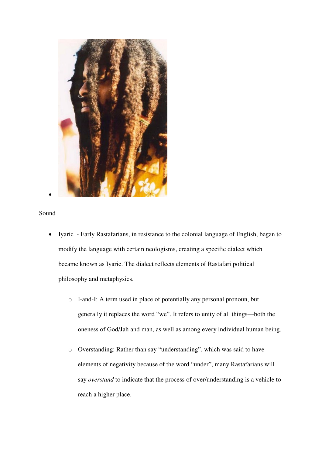

## Sound

- Iyaric Early Rastafarians, in resistance to the colonial language of English, began to modify the language with certain neologisms, creating a specific dialect which became known as Iyaric. The dialect reflects elements of Rastafari political philosophy and metaphysics.
	- o I-and-I: A term used in place of potentially any personal pronoun, but generally it replaces the word "we". It refers to unity of all things—both the oneness of God/Jah and man, as well as among every individual human being.
	- o Overstanding: Rather than say "understanding", which was said to have elements of negativity because of the word "under", many Rastafarians will say *overstand* to indicate that the process of over/understanding is a vehicle to reach a higher place.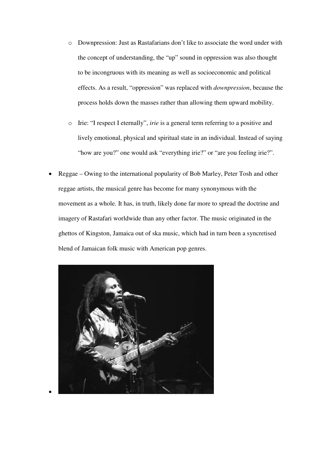- o Downpression: Just as Rastafarians don't like to associate the word under with the concept of understanding, the "up" sound in oppression was also thought to be incongruous with its meaning as well as socioeconomic and political effects. As a result, "oppression" was replaced with *downpression*, because the process holds down the masses rather than allowing them upward mobility.
- o Irie: "I respect I eternally", *irie* is a general term referring to a positive and lively emotional, physical and spiritual state in an individual. Instead of saying "how are you?" one would ask "everything irie?" or "are you feeling irie?".
- Reggae Owing to the international popularity of Bob Marley, Peter Tosh and other reggae artists, the musical genre has become for many synonymous with the movement as a whole. It has, in truth, likely done far more to spread the doctrine and imagery of Rastafari worldwide than any other factor. The music originated in the ghettos of Kingston, Jamaica out of ska music, which had in turn been a syncretised blend of Jamaican folk music with American pop genres.

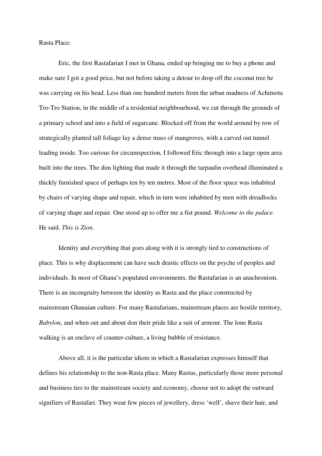Rasta Place:

 Eric, the first Rastafarian I met in Ghana, ended up bringing me to buy a phone and make sure I got a good price, but not before taking a detour to drop off the coconut tree he was carrying on his head. Less than one hundred meters from the urban madness of Achimota Tro-Tro Station, in the middle of a residential neighbourhood, we cut through the grounds of a primary school and into a field of sugarcane. Blocked off from the world around by row of strategically planted tall foliage lay a dense mass of mangroves, with a carved out tunnel leading inside. Too curious for circumspection, I followed Eric through into a large open area built into the trees. The dim lighting that made it through the tarpaulin overhead illuminated a thickly furnished space of perhaps ten by ten metres. Most of the floor space was inhabited by chairs of varying shape and repair, which in turn were inhabited by men with dreadlocks of varying shape and repair. One stood up to offer me a fist pound. *Welcome to the palace*. He said. *This is Zion*.

 Identity and everything that goes along with it is strongly tied to constructions of place. This is why displacement can have such drastic effects on the psyche of peoples and individuals. In most of Ghana's populated environments, the Rastafarian is an anachronism. There is an incongruity between the identity as Rasta and the place constructed by mainstream Ghanaian culture. For many Rastafarians, mainstream places are hostile territory, *Babylon*, and when out and about don their pride like a suit of armour. The lone Rasta walking is an enclave of counter-culture, a living bubble of resistance.

 Above all, it is the particular idiom in which a Rastafarian expresses himself that defines his relationship to the non-Rasta place. Many Rastas, particularly those more personal and business ties to the mainstream society and economy, choose not to adopt the outward signifiers of Rastafari. They wear few pieces of jewellery, dress 'well', shave their hair, and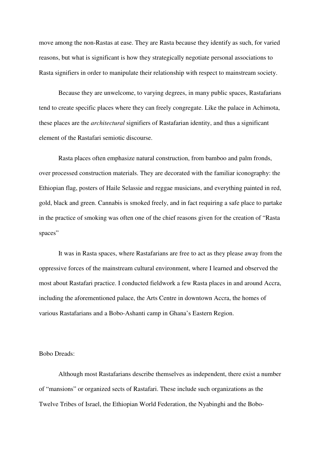move among the non-Rastas at ease. They are Rasta because they identify as such, for varied reasons, but what is significant is how they strategically negotiate personal associations to Rasta signifiers in order to manipulate their relationship with respect to mainstream society.

 Because they are unwelcome, to varying degrees, in many public spaces, Rastafarians tend to create specific places where they can freely congregate. Like the palace in Achimota, these places are the *architectural* signifiers of Rastafarian identity, and thus a significant element of the Rastafari semiotic discourse.

 Rasta places often emphasize natural construction, from bamboo and palm fronds, over processed construction materials. They are decorated with the familiar iconography: the Ethiopian flag, posters of Haile Selassie and reggae musicians, and everything painted in red, gold, black and green. Cannabis is smoked freely, and in fact requiring a safe place to partake in the practice of smoking was often one of the chief reasons given for the creation of "Rasta spaces"

 It was in Rasta spaces, where Rastafarians are free to act as they please away from the oppressive forces of the mainstream cultural environment, where I learned and observed the most about Rastafari practice. I conducted fieldwork a few Rasta places in and around Accra, including the aforementioned palace, the Arts Centre in downtown Accra, the homes of various Rastafarians and a Bobo-Ashanti camp in Ghana's Eastern Region.

#### Bobo Dreads:

 Although most Rastafarians describe themselves as independent, there exist a number of "mansions" or organized sects of Rastafari. These include such organizations as the Twelve Tribes of Israel, the Ethiopian World Federation, the Nyabinghi and the Bobo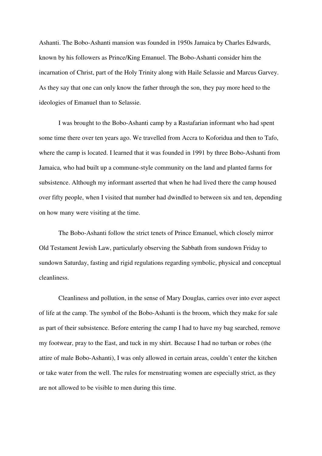Ashanti. The Bobo-Ashanti mansion was founded in 1950s Jamaica by Charles Edwards, known by his followers as Prince/King Emanuel. The Bobo-Ashanti consider him the incarnation of Christ, part of the Holy Trinity along with Haile Selassie and Marcus Garvey. As they say that one can only know the father through the son, they pay more heed to the ideologies of Emanuel than to Selassie.

 I was brought to the Bobo-Ashanti camp by a Rastafarian informant who had spent some time there over ten years ago. We travelled from Accra to Koforidua and then to Tafo, where the camp is located. I learned that it was founded in 1991 by three Bobo-Ashanti from Jamaica, who had built up a commune-style community on the land and planted farms for subsistence. Although my informant asserted that when he had lived there the camp housed over fifty people, when I visited that number had dwindled to between six and ten, depending on how many were visiting at the time.

 The Bobo-Ashanti follow the strict tenets of Prince Emanuel, which closely mirror Old Testament Jewish Law, particularly observing the Sabbath from sundown Friday to sundown Saturday, fasting and rigid regulations regarding symbolic, physical and conceptual cleanliness.

 Cleanliness and pollution, in the sense of Mary Douglas, carries over into ever aspect of life at the camp. The symbol of the Bobo-Ashanti is the broom, which they make for sale as part of their subsistence. Before entering the camp I had to have my bag searched, remove my footwear, pray to the East, and tuck in my shirt. Because I had no turban or robes (the attire of male Bobo-Ashanti), I was only allowed in certain areas, couldn't enter the kitchen or take water from the well. The rules for menstruating women are especially strict, as they are not allowed to be visible to men during this time.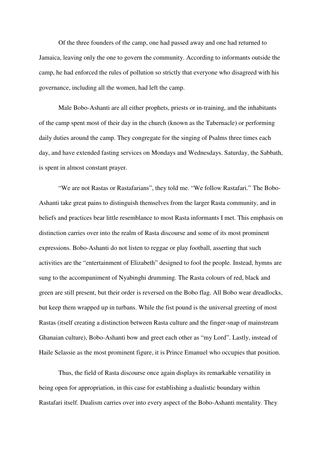Of the three founders of the camp, one had passed away and one had returned to Jamaica, leaving only the one to govern the community. According to informants outside the camp, he had enforced the rules of pollution so strictly that everyone who disagreed with his governance, including all the women, had left the camp.

 Male Bobo-Ashanti are all either prophets, priests or in-training, and the inhabitants of the camp spent most of their day in the church (known as the Tabernacle) or performing daily duties around the camp. They congregate for the singing of Psalms three times each day, and have extended fasting services on Mondays and Wednesdays. Saturday, the Sabbath, is spent in almost constant prayer.

 "We are not Rastas or Rastafarians", they told me. "We follow Rastafari." The Bobo-Ashanti take great pains to distinguish themselves from the larger Rasta community, and in beliefs and practices bear little resemblance to most Rasta informants I met. This emphasis on distinction carries over into the realm of Rasta discourse and some of its most prominent expressions. Bobo-Ashanti do not listen to reggae or play football, asserting that such activities are the "entertainment of Elizabeth" designed to fool the people. Instead, hymns are sung to the accompaniment of Nyabinghi drumming. The Rasta colours of red, black and green are still present, but their order is reversed on the Bobo flag. All Bobo wear dreadlocks, but keep them wrapped up in turbans. While the fist pound is the universal greeting of most Rastas (itself creating a distinction between Rasta culture and the finger-snap of mainstream Ghanaian culture), Bobo-Ashanti bow and greet each other as "my Lord". Lastly, instead of Haile Selassie as the most prominent figure, it is Prince Emanuel who occupies that position.

 Thus, the field of Rasta discourse once again displays its remarkable versatility in being open for appropriation, in this case for establishing a dualistic boundary within Rastafari itself. Dualism carries over into every aspect of the Bobo-Ashanti mentality. They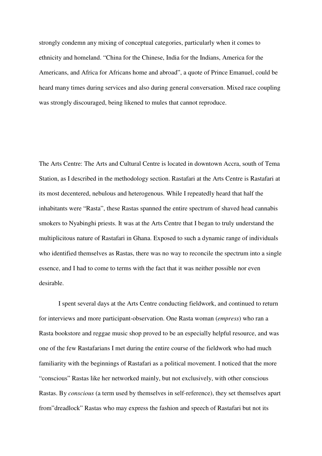strongly condemn any mixing of conceptual categories, particularly when it comes to ethnicity and homeland. "China for the Chinese, India for the Indians, America for the Americans, and Africa for Africans home and abroad", a quote of Prince Emanuel, could be heard many times during services and also during general conversation. Mixed race coupling was strongly discouraged, being likened to mules that cannot reproduce.

The Arts Centre: The Arts and Cultural Centre is located in downtown Accra, south of Tema Station, as I described in the methodology section. Rastafari at the Arts Centre is Rastafari at its most decentered, nebulous and heterogenous. While I repeatedly heard that half the inhabitants were "Rasta", these Rastas spanned the entire spectrum of shaved head cannabis smokers to Nyabinghi priests. It was at the Arts Centre that I began to truly understand the multiplicitous nature of Rastafari in Ghana. Exposed to such a dynamic range of individuals who identified themselves as Rastas, there was no way to reconcile the spectrum into a single essence, and I had to come to terms with the fact that it was neither possible nor even desirable.

 I spent several days at the Arts Centre conducting fieldwork, and continued to return for interviews and more participant-observation. One Rasta woman (*empress*) who ran a Rasta bookstore and reggae music shop proved to be an especially helpful resource, and was one of the few Rastafarians I met during the entire course of the fieldwork who had much familiarity with the beginnings of Rastafari as a political movement. I noticed that the more "conscious" Rastas like her networked mainly, but not exclusively, with other conscious Rastas. By *conscious* (a term used by themselves in self-reference), they set themselves apart from"dreadlock" Rastas who may express the fashion and speech of Rastafari but not its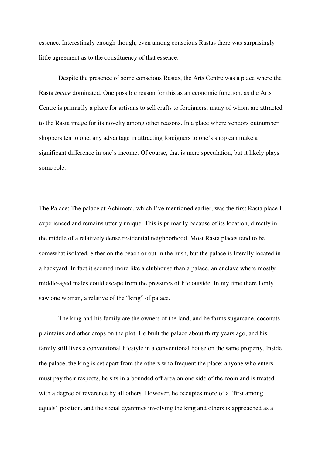essence. Interestingly enough though, even among conscious Rastas there was surprisingly little agreement as to the constituency of that essence.

 Despite the presence of some conscious Rastas, the Arts Centre was a place where the Rasta *image* dominated. One possible reason for this as an economic function, as the Arts Centre is primarily a place for artisans to sell crafts to foreigners, many of whom are attracted to the Rasta image for its novelty among other reasons. In a place where vendors outnumber shoppers ten to one, any advantage in attracting foreigners to one's shop can make a significant difference in one's income. Of course, that is mere speculation, but it likely plays some role.

The Palace: The palace at Achimota, which I've mentioned earlier, was the first Rasta place I experienced and remains utterly unique. This is primarily because of its location, directly in the middle of a relatively dense residential neighborhood. Most Rasta places tend to be somewhat isolated, either on the beach or out in the bush, but the palace is literally located in a backyard. In fact it seemed more like a clubhouse than a palace, an enclave where mostly middle-aged males could escape from the pressures of life outside. In my time there I only saw one woman, a relative of the "king" of palace.

 The king and his family are the owners of the land, and he farms sugarcane, coconuts, plaintains and other crops on the plot. He built the palace about thirty years ago, and his family still lives a conventional lifestyle in a conventional house on the same property. Inside the palace, the king is set apart from the others who frequent the place: anyone who enters must pay their respects, he sits in a bounded off area on one side of the room and is treated with a degree of reverence by all others. However, he occupies more of a "first among equals" position, and the social dyanmics involving the king and others is approached as a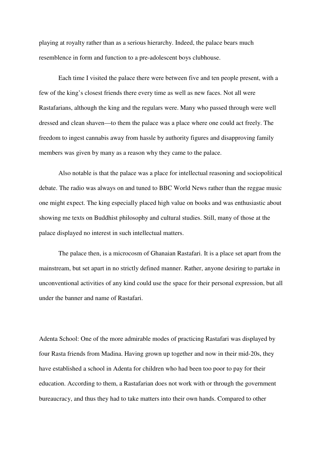playing at royalty rather than as a serious hierarchy. Indeed, the palace bears much resemblence in form and function to a pre-adolescent boys clubhouse.

 Each time I visited the palace there were between five and ten people present, with a few of the king's closest friends there every time as well as new faces. Not all were Rastafarians, although the king and the regulars were. Many who passed through were well dressed and clean shaven—to them the palace was a place where one could act freely. The freedom to ingest cannabis away from hassle by authority figures and disapproving family members was given by many as a reason why they came to the palace.

 Also notable is that the palace was a place for intellectual reasoning and sociopolitical debate. The radio was always on and tuned to BBC World News rather than the reggae music one might expect. The king especially placed high value on books and was enthusiastic about showing me texts on Buddhist philosophy and cultural studies. Still, many of those at the palace displayed no interest in such intellectual matters.

 The palace then, is a microcosm of Ghanaian Rastafari. It is a place set apart from the mainstream, but set apart in no strictly defined manner. Rather, anyone desiring to partake in unconventional activities of any kind could use the space for their personal expression, but all under the banner and name of Rastafari.

Adenta School: One of the more admirable modes of practicing Rastafari was displayed by four Rasta friends from Madina. Having grown up together and now in their mid-20s, they have established a school in Adenta for children who had been too poor to pay for their education. According to them, a Rastafarian does not work with or through the government bureaucracy, and thus they had to take matters into their own hands. Compared to other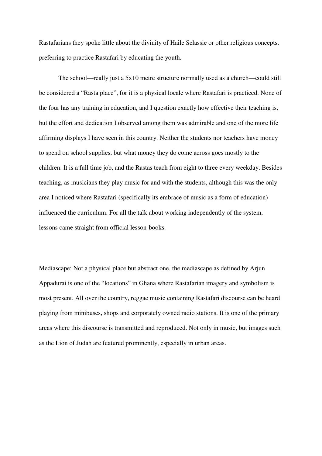Rastafarians they spoke little about the divinity of Haile Selassie or other religious concepts, preferring to practice Rastafari by educating the youth.

 The school—really just a 5x10 metre structure normally used as a church—could still be considered a "Rasta place", for it is a physical locale where Rastafari is practiced. None of the four has any training in education, and I question exactly how effective their teaching is, but the effort and dedication I observed among them was admirable and one of the more life affirming displays I have seen in this country. Neither the students nor teachers have money to spend on school supplies, but what money they do come across goes mostly to the children. It is a full time job, and the Rastas teach from eight to three every weekday. Besides teaching, as musicians they play music for and with the students, although this was the only area I noticed where Rastafari (specifically its embrace of music as a form of education) influenced the curriculum. For all the talk about working independently of the system, lessons came straight from official lesson-books.

Mediascape: Not a physical place but abstract one, the mediascape as defined by Arjun Appadurai is one of the "locations" in Ghana where Rastafarian imagery and symbolism is most present. All over the country, reggae music containing Rastafari discourse can be heard playing from minibuses, shops and corporately owned radio stations. It is one of the primary areas where this discourse is transmitted and reproduced. Not only in music, but images such as the Lion of Judah are featured prominently, especially in urban areas.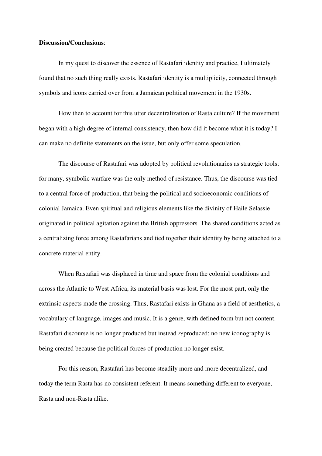## **Discussion/Conclusions**:

 In my quest to discover the essence of Rastafari identity and practice, I ultimately found that no such thing really exists. Rastafari identity is a multiplicity, connected through symbols and icons carried over from a Jamaican political movement in the 1930s.

 How then to account for this utter decentralization of Rasta culture? If the movement began with a high degree of internal consistency, then how did it become what it is today? I can make no definite statements on the issue, but only offer some speculation.

 The discourse of Rastafari was adopted by political revolutionaries as strategic tools; for many, symbolic warfare was the only method of resistance. Thus, the discourse was tied to a central force of production, that being the political and socioeconomic conditions of colonial Jamaica. Even spiritual and religious elements like the divinity of Haile Selassie originated in political agitation against the British oppressors. The shared conditions acted as a centralizing force among Rastafarians and tied together their identity by being attached to a concrete material entity.

 When Rastafari was displaced in time and space from the colonial conditions and across the Atlantic to West Africa, its material basis was lost. For the most part, only the extrinsic aspects made the crossing. Thus, Rastafari exists in Ghana as a field of aesthetics, a vocabulary of language, images and music. It is a genre, with defined form but not content. Rastafari discourse is no longer produced but instead *re*produced; no new iconography is being created because the political forces of production no longer exist.

 For this reason, Rastafari has become steadily more and more decentralized, and today the term Rasta has no consistent referent. It means something different to everyone, Rasta and non-Rasta alike.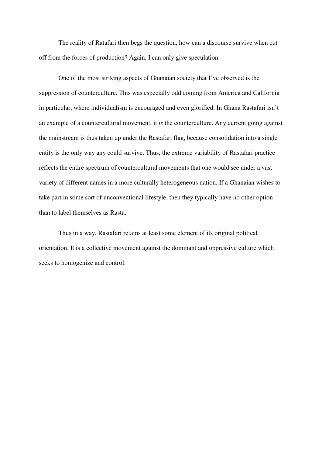The reality of Ratafari then begs the question, how can a discourse survive when cut off from the forces of production? Again, I can only give speculation.

 One of the most striking aspects of Ghanaian society that I've observed is the suppression of counterculture. This was especially odd coming from America and California in particular, where individualism is encouraged and even glorified. In Ghana Rastafari isn't an example of a countercultural movement, it *is* the counterculture. Any current going against the mainstream is thus taken up under the Rastafari flag, because consolidation into a single entity is the only way any could survive. Thus, the extreme variability of Rastafari practice reflects the entire spectrum of countercultural movements that one would see under a vast variety of different names in a more culturally heterogeneous nation. If a Ghanaian wishes to take part in some sort of unconventional lifestyle, then they typically have no other option than to label themselves as Rasta.

 Thus in a way, Rastafari retains at least some element of its original political orientation. It is a collective movement against the dominant and oppressive culture which seeks to homogenize and control.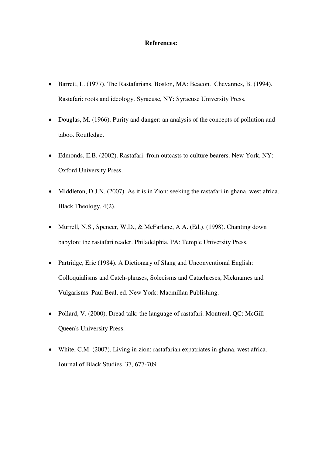#### **References:**

- Barrett, L. (1977). The Rastafarians. Boston, MA: Beacon. Chevannes, B. (1994). Rastafari: roots and ideology. Syracuse, NY: Syracuse University Press.
- Douglas, M. (1966). Purity and danger: an analysis of the concepts of pollution and taboo. Routledge.
- Edmonds, E.B. (2002). Rastafari: from outcasts to culture bearers. New York, NY: Oxford University Press.
- Middleton, D.J.N. (2007). As it is in Zion: seeking the rastafari in ghana, west africa. Black Theology, 4(2).
- Murrell, N.S., Spencer, W.D., & McFarlane, A.A. (Ed.). (1998). Chanting down babylon: the rastafari reader. Philadelphia, PA: Temple University Press.
- Partridge, Eric (1984). A Dictionary of Slang and Unconventional English: Colloquialisms and Catch-phrases, Solecisms and Catachreses, Nicknames and Vulgarisms. Paul Beal, ed. New York: Macmillan Publishing.
- Pollard, V. (2000). Dread talk: the language of rastafari. Montreal, QC: McGill-Queen's University Press.
- White, C.M. (2007). Living in zion: rastafarian expatriates in ghana, west africa. Journal of Black Studies, 37, 677-709.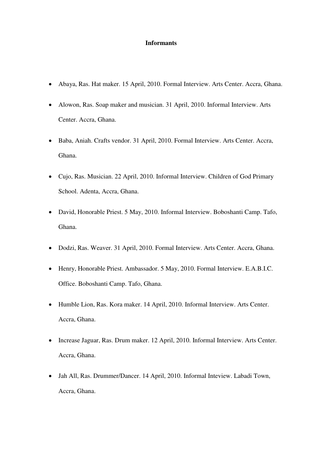#### **Informants**

- Abaya, Ras. Hat maker. 15 April, 2010. Formal Interview. Arts Center. Accra, Ghana.
- Alowon, Ras. Soap maker and musician. 31 April, 2010. Informal Interview. Arts Center. Accra, Ghana.
- Baba, Aniah. Crafts vendor. 31 April, 2010. Formal Interview. Arts Center. Accra, Ghana.
- Cujo, Ras. Musician. 22 April, 2010. Informal Interview. Children of God Primary School. Adenta, Accra, Ghana.
- David, Honorable Priest. 5 May, 2010. Informal Interview. Boboshanti Camp. Tafo, Ghana.
- Dodzi, Ras. Weaver. 31 April, 2010. Formal Interview. Arts Center. Accra, Ghana.
- Henry, Honorable Priest. Ambassador. 5 May, 2010. Formal Interview. E.A.B.I.C. Office. Boboshanti Camp. Tafo, Ghana.
- Humble Lion, Ras. Kora maker. 14 April, 2010. Informal Interview. Arts Center. Accra, Ghana.
- Increase Jaguar, Ras. Drum maker. 12 April, 2010. Informal Interview. Arts Center. Accra, Ghana.
- Jah All, Ras. Drummer/Dancer. 14 April, 2010. Informal Inteview. Labadi Town, Accra, Ghana.